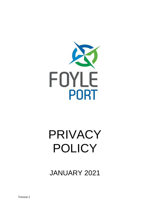

# PRIVACY POLICY

# JANUARY 2021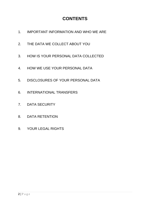# **CONTENTS**

- 1. IMPORTANT INFORMATION AND WHO WE ARE
- 2. THE DATA WE COLLECT ABOUT YOU
- 3. HOW IS YOUR PERSONAL DATA COLLECTED
- 4. HOW WE USE YOUR PERSONAL DATA
- 5. DISCLOSURES OF YOUR PERSONAL DATA
- 6. INTERNATIONAL TRANSFERS
- 7. DATA SECURITY
- 8. DATA RETENTION
- 9. YOUR LEGAL RIGHTS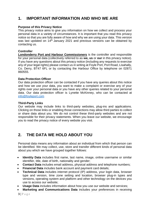# **1. IMPORTANT INFORMATION AND WHO WE ARE**

#### **Purpose of this Privacy Notice**

This privacy notice aims to give you information on how we collect and process your personal data in a variety of circumstances. It is important that you read this privacy notice so that you are fully aware of how and why we are using your data. This version was last updated on  $14<sup>th</sup>$  January 2021 and previous versions can be obtained by contacting us.

#### **Controller**

**Londonderry Port and Harbour Commissioners** is the controller and responsible for your personal data (collectively referred to as **we, us** or **our** in this privacy notice). If you have any questions about this privacy notice (including any requests to exercise any of your legal rights) please contact us in writing at Foyle Port, Port Road, Lisahally, Co. Derry, BT47 6FL or by contacting the Harbour Office by telephone on 02871 860555.

#### **Data Protection Officer**

Our data protection officer can be contacted if you have any queries about this notice and how we use your data, you want to make a complaint or exercise any of your rights over your personal data or you have any other queries related to your personal data. Our data protection officer is Lynette McKinney, who can be contacted at [info@foyleport.com](mailto:info@foyleport.com)

#### **Third-Party Links**

Our website may include links to third-party websites, plug-ins and applications. Clicking on those links or enabling those connections may allow third parties to collect or share data about you. We do not control these third-party websites and are not responsible for their privacy statements. When you leave our website, we encourage you to read the privacy notice of every website you visit.

# **2. THE DATA WE HOLD ABOUT YOU**

Personal data means any information about an individual from which that person can be identified. We may collect, use, store and transfer different kinds of personal data about you which we have grouped together follows:

- **Identity Data** includes first name, last name, image, online username or similar identifier, title, date of birth, nationality and gender;
- **Contact Data** includes email address, physical address and telephone numbers;
- **Financial Data** includes bank account and payment card details;
- **Technical Data** includes internet protocol (IP) address, your login data, browser type and version, time zone setting and location, browser plug-in types and versions, operating system and platform and other technology on the devices you use to access our website;
- **Usage Data** includes information about how you use our website and services;
- **Marketing and Communications Data** includes your preferences in receiving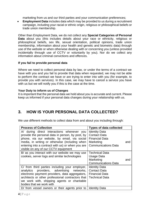marketing from us and our third parties and your communication preferences;

• **Employment Data** includes data which may be provided to us during a recruitment campaign, including your racial or ethnic origin, religious or philosophical beliefs or trade union membership.

Other than Employment Data, we do not collect any **Special Categories of Personal Data** about you (this includes details about your race or ethnicity, religious or philosophical beliefs, sex life, sexual orientation, political opinions, trade union membership, information about your health and genetic and biometric data) through use of the website or when otherwise dealing with or concerning you (unless provided incidentally through use of CCTV or voluntarily by you). Nor do we collect any information about criminal convictions and offences.

#### **If you fail to provide personal data**

Where we need to collect personal data by law, or under the terms of a contract we have with you and you fail to provide that data when requested, we may not be able to perform the contract we have or are trying to enter into with you (for example, to provide you with services). In this case, we may have to cancel a service you have with us but we will notify you if this is the case at the time.

#### **Your Duty to inform us of Changes**

It is important that the personal data we hold about you is accurate and current. Please keep us informed if your personal data changes during your relationship with us.

# **3. HOW IS YOUR PERSONAL DATA COLLECTED?**

We use different methods to collect data from and about you including through:

| <b>Process of Collection</b>                      | <b>Types of data collected</b> |
|---------------------------------------------------|--------------------------------|
| A/ during direct interactions whenever you        | <b>Identity Data</b>           |
| provide the personal data in person, by post, by  | <b>Contact Data</b>            |
| phone, via our website, by email, via social      | <b>Financial Data</b>          |
| media, in writing or otherwise (including when    | Marketing<br>and               |
| entering into a contract with us) or when you are | <b>Communications Data</b>     |
| visible on any of our CCTV equipment              |                                |
| B/ as you interact with our website we may use    | <b>Technical Data</b>          |
| cookies, server logs and similar technologies     | Usage Data                     |
|                                                   | Marketing<br>and               |
|                                                   | <b>Communications Data</b>     |
| C/ from third parties including your employer,    | <b>Identity Data</b>           |
| analytics providers, advertising networks,        | <b>Contact Data</b>            |
| electronic payment providers, data aggregators,   | <b>Financial Data</b>          |
| architects or other professional contractors that | <b>Technical Data</b>          |
| we work with, shipping agents or charitable       |                                |
| bodies that we work with                          |                                |
| D/ from vessel owners or their agents prior to    | <b>Identity Data</b>           |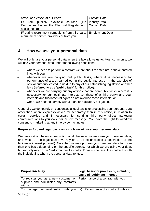| arrival of a vessel at our Ports                         | <b>Contact Data</b>    |
|----------------------------------------------------------|------------------------|
| E/ from publicly available sources (like I Identity Data |                        |
| Companies House, the Electoral Register and Contact Data |                        |
| social media)                                            |                        |
| F/ during recruitment campaigns from third party         | <b>Employment Data</b> |
| recruitment service providers or from you                |                        |

### **4. How we use your personal data**

We will only use your personal data when the law allows us to. Most commonly, we will use your personal data under the following conditions:

- where we need to perform a contract we are about to enter into, or have entered into, with you;
- whenever we are carrying out public tasks, where it is necessary for performance of a task carried out in the public interest or in the exercise of official authority vested in us due to any of our establishing legislation or other laws (referred to as a "**public task**" for this notice).
- whenever we are carrying out any actions that are non-public tasks, where it is necessary for our legitimate interests (or those of a third party) and your interests and fundamental rights do not override those interests; or
- where we need to comply with a legal or regulatory obligation.

Generally we do not rely on consent as a legal basis for processing your personal data other than where expressly asked for separately than in this notice, in relation to certain cookies and if necessary for sending third party direct marketing communications to you via email or text message. You have the right to withdraw consent to marketing at any time by contacting us.

#### **Purposes for, and legal basis on, which we will use your personal data**

We have set out below a description of all the ways we may use your personal data, and which of the legal bases we rely on to do so (including a description of the legitimate interest pursued). Note that we may process your personal data for more than one basis depending on the specific purpose for which we are using your data, but will only rely on the "performance of a contract" basis whenever the contract is with the individual to whom the personal data relates.

| <b>Purpose/Activity</b>                                                                                                      | Legal basis for processing including<br>basis of legitimate interest |
|------------------------------------------------------------------------------------------------------------------------------|----------------------------------------------------------------------|
| To register you as a new customer or Performance of a contract with you<br>supplier and administer any contracts<br>with you |                                                                      |
| To manage our relationship with you $\vert$ (a) Performance of a contract with you                                           |                                                                      |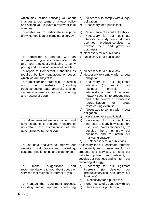| which may include notifying you about<br>changes to our terms or privacy policy<br>and asking you to leave a review or take<br>a survey                                                     | Necessary to comply with a legal<br>(b)<br>obligation<br>Necessary for a public task<br>(c)                                                                                                                                                                                                                                                                                                 |
|---------------------------------------------------------------------------------------------------------------------------------------------------------------------------------------------|---------------------------------------------------------------------------------------------------------------------------------------------------------------------------------------------------------------------------------------------------------------------------------------------------------------------------------------------------------------------------------------------|
| To enable you to participate in a prize<br>draw, competition or complete a survey                                                                                                           | (a)<br>Performance of a contract with you<br>Necessary for our<br>legitimate<br>(b)<br>interests (to study how customers<br>our products/services,<br>to<br>use<br>develop<br>them<br>and<br>grow<br>our<br>business)<br>(c) Necessary for a public task                                                                                                                                    |
| administer a<br>contract<br>with<br>To<br>an<br>organisation you are associated with<br>(e.g. your employer), including to verify<br>pricing and historical personnel details               | (a) Necessary for a public task                                                                                                                                                                                                                                                                                                                                                             |
| To report to Competent Authorities as<br>required by law, regulations or codes<br>which we are subject to                                                                                   | (a) Necessary for a public task<br>(b) Necessary to comply with a legal<br>obligation                                                                                                                                                                                                                                                                                                       |
| To administer and protect our business<br>website<br>(including<br>and<br>our<br>troubleshooting, data analysis, testing,<br>system maintenance, support, reporting<br>and hosting of data) | Necessary<br>for<br>legitimate<br>(a)<br>our<br>interests<br>(for<br>running<br>our<br>business,<br>provision<br>0f<br>administration and IT services,<br>network security, to prevent fraud<br>and in the context of a business<br>reorganisation<br>group<br>or<br>restructuring exercise)<br>Necessary to comply with a legal<br>(b)<br>obligation<br>(c)<br>Necessary for a public task |
| To deliver relevant website content and<br>advertisements to you and measure or<br>understand the effectiveness of the<br>advertising we serve to you                                       | Necessary for our<br>legitimate<br>(a)<br>interests (to study how customers<br>use our products/services, to<br>develop them, to grow<br>our<br>business<br>and to<br>inform<br>our<br>marketing strategy)<br>Necessary for a public task<br>(b)                                                                                                                                            |
| To use data analytics to improve our<br>website, products/services, marketing,<br>customer relationships and experiences                                                                    | Necessary for our legitimate interests<br>(to define types of customers for our<br>products and services, to keep our<br>website updated and relevant, to<br>develop our business and to inform our<br>marketing strategy)                                                                                                                                                                  |
| To<br>make<br>suggestions<br>and<br>recommendations to you about goods or<br>services that may be of interest to you                                                                        | Necessary<br>for<br>legitimate<br>(a)<br>our<br>develop<br>interests<br>(to<br>our<br>products/services and grow<br>our<br>business)<br>(b)<br>Necessary for a public task                                                                                                                                                                                                                  |
| To manage the recruitment process,<br>including<br>setting<br>up and conducting                                                                                                             | Performance of a contract with you<br>(a)<br>(b)<br>Necessary for public task                                                                                                                                                                                                                                                                                                               |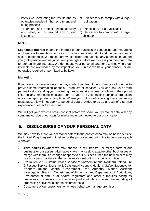| interviews, evaluating the results and as $\vert$ (c)<br>otherwise needed in the recruitment and<br>hiring process                                                       | Necessary to comply with a legal<br>obligation |
|--------------------------------------------------------------------------------------------------------------------------------------------------------------------------|------------------------------------------------|
| To ensure and protect health, security $(a)$ Necessary for a public task<br>and safety on or around any of our $\vert$ (b) Necessary to comply with a legal<br>locations | obligation                                     |

#### **NOTE:**

**Legitimate Interest** means the interest of our business in conducting and managing our business to enable us to give you the best service/product and the best and most secure experience. We make sure we consider and balance any potential impact on you (both positive and negative) and your rights before we process your personal data for our legitimate interests. We do not use your personal data for activities where our interests are overridden by the impact on you (unless we have your consent or are otherwise required or permitted to by law).

#### **Marketing**

If you are a customer of ours, we may contact you from time to time by call or email to provide some information about our products or services. You can ask us or third parties to stop sending you marketing messages at any time by following the opt-out links on any marketing message sent to you or by contacting our data protection officer, as appropriate, at any time. Where you opt out of receiving these marketing messages, this will not apply to personal data provided to us as a result of a service experience or other transactions.

We will get your express opt-in consent before we share your personal data with any company outside of our own for marketing unconnected to our organisation.

# **5. DISCLOSURES OF YOUR PERSONAL DATA**

We may have to share your personal data with the parties (who may be based outside the United Kingdom) set out below for the purposes set out in the table in paragraph 4 above:

- Third parties to whom we may choose to sell, transfer, or merge parts of our business or our assets. Alternatively, we may seek to acquire other businesses or merge with them. If a change happens to our business, then the new owners may use your personal data in the same way as set out in this privacy notice.
- HM Revenue & Customs, Police Service of Northern Ireland, Northern Ireland Fire & Rescue Service, Maritime & Coastguard Agency, Health & Safety Executive for Northern Ireland, central Government, Port Authority, Marine Accident Investigation Branch, Department of Infrastructure, Department of Agriculture, Environmental and Rural Affairs, regulators and other authorities acting as processors, controllers in common or joint controllers who require reporting of processing activities in certain circumstances;
- Customers of our customers, on whose behalf we manage premises;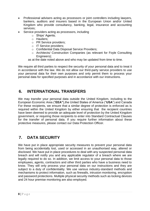- Professional advisers acting as processors or joint controllers including lawyers, bankers, auditors and insurers based in the European Union and/or United Kingdom who provide consultancy, banking, legal, insurance and accounting services;
- Service providers acting as processors, including
	- o Ships' Agents;
	- o Hauliers;
	- o PR Service providers;
	- o IT Service providers;
	- o Confidential Data Disposal Service Providers;
	- o Architects/ Construction Companies (as relevant for Foyle Consulting Engineers);

as at the date noted above and who may be updated from time to time.

We require all third parties to respect the security of your personal data and to treat it in accordance with the law. We do not allow our third-party service providers to use your personal data for their own purposes and only permit them to process your personal data for specified purposes and in accordance with our instructions.

# **6. INTERNATIONAL TRANSFERS**

We may transfer your personal data outside the United Kingdom, including to the European Economic Area ("**EEA"**),the United States of America ("**USA**") and Canada For these recipients, we ensure that a similar degree of protection is enforced as is required within the United Kingdom by either ensuring that the recipient countries have been deemed to provide an adequate level of protection by the United Kingdom government, or requiring those recipients to enter into Standard Contractual Clauses for the transfer of personal data. If you require further information about these protective measures, please contact our Data Protection Officer.

# **7. DATA SECURITY**

We have put in place appropriate security measures to prevent your personal data from being accidentally lost, used or accessed in an unauthorised way, altered or disclosed. We have put in place procedures to deal with any suspected personal data breach and will notify you and any applicable regulator of a breach where we are legally required to do so. In addition, we limit access to your personal data to those employees, agents, contractors and other third parties who have a business need to know. They will only process your personal data on our instructions and they are subject to a duty of confidentiality. We use various industry-standard methods and mechanisms to protect information, such as firewalls, intrusion monitoring, encryption and password protections. Multiple physical security methods such as locking devices and 24 hour premise monitoring are also employed.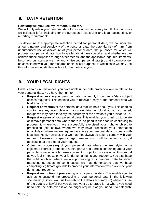# **8. DATA RETENTION**

#### **How long will you use my Personal Data for?**

We will only retain your personal data for as long as necessary to fulfil the purposes we collected it for, including for the purposes of satisfying any legal, accounting, or reporting requirements.

To determine the appropriate retention period for personal data, we consider the amount, nature, and sensitivity of the personal data, the potential risk of harm from unauthorised use or disclosure of your personal data, the purposes for which we process your personal data, how long a legal claim may be taken and whether we can achieve those purposes through other means, and the applicable legal requirements. In some circumstances we may anonymise your personal data (so that it can no longer be associated with you) for research or statistical purposes in which case we may use this information indefinitely without further notice to you.

# **9. YOUR LEGAL RIGHTS**

Under certain circumstances, you have rights under data protection laws in relation to your personal data. You have the right to:

- **Request access** to your personal data (commonly known as a "data subject access request"). This enables you to receive a copy of the personal data we hold about you.
- **Request correction** of the personal data that we hold about you. This enables you to have any incomplete or inaccurate data we hold about you corrected, though we may need to verify the accuracy of the new data you provide to us.
- **Request erasure** of your personal data. This enables you to ask us to delete or remove personal data where there is no good reason for us continuing to process it, where you have successfully exercised your right to object to processing (see below), where we may have processed your information unlawfully or where we are required to erase your personal data to comply with local law. Note, however, that we may not always be able to comply with your request of erasure for specific legal reasons which will be notified to you, if applicable, at the time of your request.
- **Object to processing** of your personal data where we are relying on a legitimate interest (or those of a third party) and there is something about your particular situation which makes you want to object to processing on this ground as you feel it impacts on your fundamental rights and freedoms. You also have the right to object where we are processing your personal data for direct marketing purposes. In some cases, we may demonstrate that we have compelling legitimate grounds to process your information which override your rights and freedoms.
- **Request restriction of processing** of your personal data. This enables you to ask us to suspend the processing of your personal data in the following scenarios: (a) if you want us to establish the data's accuracy; (b) where our use of the data is unlawful but you do not want us to erase it; (c) where you need us to hold the data even if we no longer require it as you need it to establish,